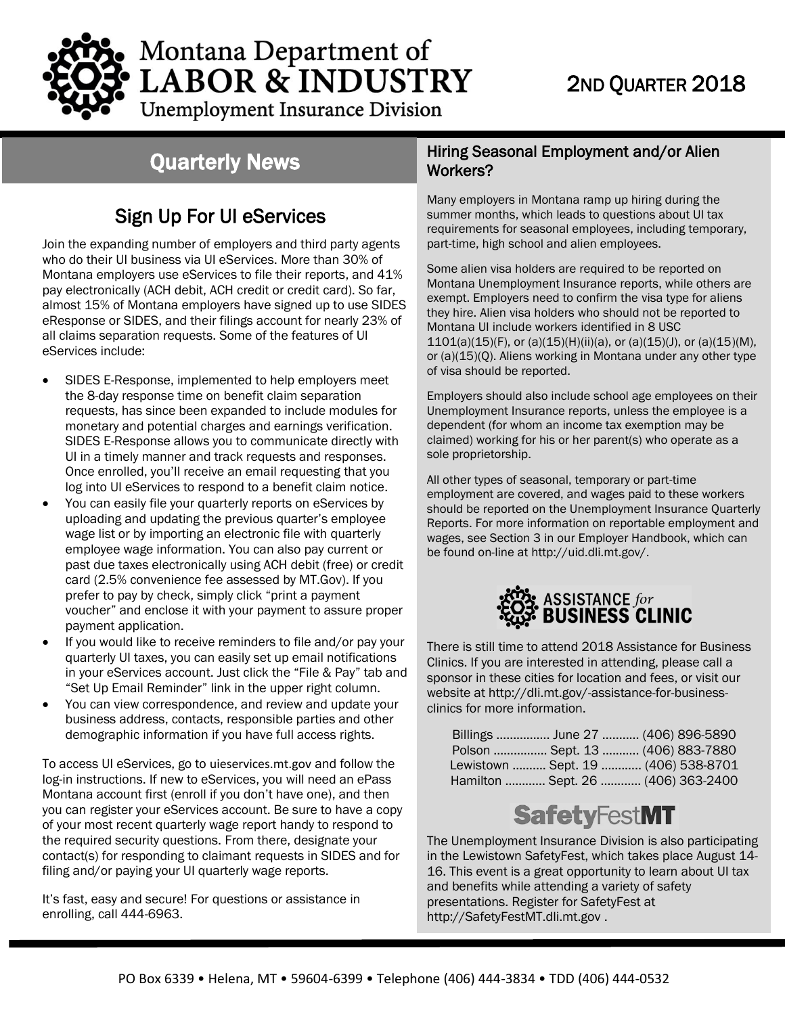

# Montana Department of **LABOR & INDUSTRY**

## 2ND QUARTER 2018

**Unemployment Insurance Division** 

### Quarterly N*e*ws

### Sign Up For UI eServices

Join the expanding number of employers and third party agents who do their UI business via UI eServices. More than 30% of Montana employers use eServices to file their reports, and 41% pay electronically (ACH debit, ACH credit or credit card). So far, almost 15% of Montana employers have signed up to use SIDES eResponse or SIDES, and their filings account for nearly 23% of all claims separation requests. Some of the features of UI eServices include:

- SIDES E-Response, implemented to help employers meet the 8-day response time on benefit claim separation requests, has since been expanded to include modules for monetary and potential charges and earnings verification. SIDES E-Response allows you to communicate directly with UI in a timely manner and track requests and responses. Once enrolled, you'll receive an email requesting that you log into UI eServices to respond to a benefit claim notice.
- You can easily file your quarterly reports on eServices by uploading and updating the previous quarter's employee wage list or by importing an electronic file with quarterly employee wage information. You can also pay current or past due taxes electronically using ACH debit (free) or credit card (2.5% convenience fee assessed by MT.Gov). If you prefer to pay by check, simply click "print a payment voucher" and enclose it with your payment to assure proper payment application.
- If you would like to receive reminders to file and/or pay your quarterly UI taxes, you can easily set up email notifications in your eServices account. Just click the "File & Pay" tab and "Set Up Email Reminder" link in the upper right column.
- You can view correspondence, and review and update your business address, contacts, responsible parties and other demographic information if you have full access rights.

To access UI eServices, go to [uieservices.mt.gov](http://uieservices.mt.gov/) and follow the log-in instructions. If new to eServices, you will need an ePass Montana account first (enroll if you don't have one), and then you can register your eServices account. Be sure to have a copy of your most recent quarterly wage report handy to respond to the required security questions. From there, designate your contact(s) for responding to claimant requests in SIDES and for filing and/or paying your UI quarterly wage reports.

It's fast, easy and secure! For questions or assistance in enrolling, call 444-6963.

#### Hiring Seasonal Employment and/or Alien Workers?

Many employers in Montana ramp up hiring during the summer months, which leads to questions about UI tax requirements for seasonal employees, including temporary, part-time, high school and alien employees.

Some alien visa holders are required to be reported on Montana Unemployment Insurance reports, while others are exempt. Employers need to confirm the visa type for aliens they hire. Alien visa holders who should not be reported to Montana UI include workers identified in 8 USC  $1101(a)(15)(F)$ , or (a)(15)(H)(ii)(a), or (a)(15)(J), or (a)(15)(M), or (a)(15)(Q). Aliens working in Montana under any other type of visa should be reported.

Employers should also include school age employees on their Unemployment Insurance reports, unless the employee is a dependent (for whom an income tax exemption may be claimed) working for his or her parent(s) who operate as a sole proprietorship.

All other types of seasonal, temporary or part-time employment are covered, and wages paid to these workers should be reported on the Unemployment Insurance Quarterly Reports. For more information on reportable employment and wages, see Section 3 in our Employer Handbook, which can be found on-line a[t http://uid.dli.mt.gov/.](http://uid.dli.mt.gov/)



There is still time to attend 2018 Assistance for Business Clinics. If you are interested in attending, please call a sponsor in these cities for location and fees, or visit our website at [http://dli.mt.gov/-assistance-for-business](http://dli.mt.gov/-assistance-for-business-clinics)[clinics](http://dli.mt.gov/-assistance-for-business-clinics) for more information.

| Billings  June 27  (406) 896-5890   |  |  |  |
|-------------------------------------|--|--|--|
| Polson  Sept. 13  (406) 883-7880    |  |  |  |
| Lewistown  Sept. 19  (406) 538-8701 |  |  |  |
| Hamilton  Sept. 26  (406) 363-2400  |  |  |  |

# **SafetyFestMT**

The Unemployment Insurance Division is also participating in the Lewistown SafetyFest, which takes place August 14- 16. This event is a great opportunity to learn about UI tax and benefits while attending a variety of safety presentations. Register for SafetyFest at [http://SafetyFestMT.dli.mt.gov](http://safetyfestmt.dli.mt.gov/) .